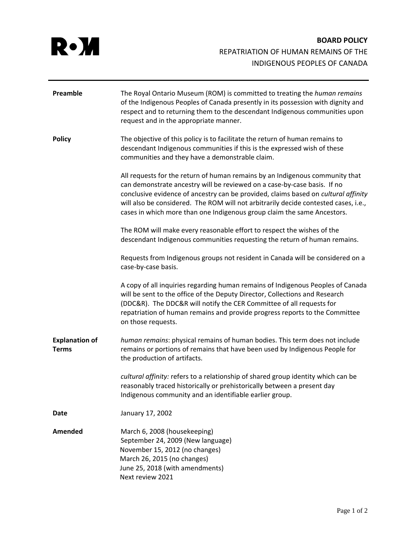

| Preamble                              | The Royal Ontario Museum (ROM) is committed to treating the human remains<br>of the Indigenous Peoples of Canada presently in its possession with dignity and<br>respect and to returning them to the descendant Indigenous communities upon<br>request and in the appropriate manner.                                                                                                                           |
|---------------------------------------|------------------------------------------------------------------------------------------------------------------------------------------------------------------------------------------------------------------------------------------------------------------------------------------------------------------------------------------------------------------------------------------------------------------|
| <b>Policy</b>                         | The objective of this policy is to facilitate the return of human remains to<br>descendant Indigenous communities if this is the expressed wish of these<br>communities and they have a demonstrable claim.                                                                                                                                                                                                      |
|                                       | All requests for the return of human remains by an Indigenous community that<br>can demonstrate ancestry will be reviewed on a case-by-case basis. If no<br>conclusive evidence of ancestry can be provided, claims based on cultural affinity<br>will also be considered. The ROM will not arbitrarily decide contested cases, i.e.,<br>cases in which more than one Indigenous group claim the same Ancestors. |
|                                       | The ROM will make every reasonable effort to respect the wishes of the<br>descendant Indigenous communities requesting the return of human remains.                                                                                                                                                                                                                                                              |
|                                       | Requests from Indigenous groups not resident in Canada will be considered on a<br>case-by-case basis.                                                                                                                                                                                                                                                                                                            |
|                                       | A copy of all inquiries regarding human remains of Indigenous Peoples of Canada<br>will be sent to the office of the Deputy Director, Collections and Research<br>(DDC&R). The DDC&R will notify the CER Committee of all requests for<br>repatriation of human remains and provide progress reports to the Committee<br>on those requests.                                                                      |
| <b>Explanation of</b><br><b>Terms</b> | human remains: physical remains of human bodies. This term does not include<br>remains or portions of remains that have been used by Indigenous People for<br>the production of artifacts.                                                                                                                                                                                                                       |
|                                       | cultural affinity: refers to a relationship of shared group identity which can be<br>reasonably traced historically or prehistorically between a present day<br>Indigenous community and an identifiable earlier group.                                                                                                                                                                                          |
| Date                                  | January 17, 2002                                                                                                                                                                                                                                                                                                                                                                                                 |
| Amended                               | March 6, 2008 (housekeeping)<br>September 24, 2009 (New language)<br>November 15, 2012 (no changes)<br>March 26, 2015 (no changes)<br>June 25, 2018 (with amendments)<br>Next review 2021                                                                                                                                                                                                                        |